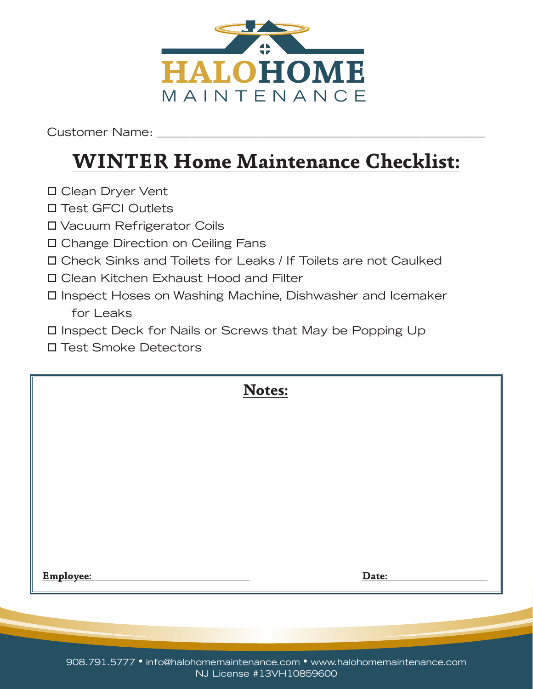

## **WINTER Home Maintenance Checklist:**

- □ Clean Dryer Vent
- □ Test GFCI Outlets
- Vacuum Refrigerator Coils
- Change Direction on Ceiling Fans
- Check Sinks and Toilets for Leaks / If Toilets are not Caulked
- Clean Kitchen Exhaust Hood and Filter
- Inspect Hoses on Washing Machine, Dishwasher and Icemaker for Leaks
- Inspect Deck for Nails or Screws that May be Popping Up
- Test Smoke Detectors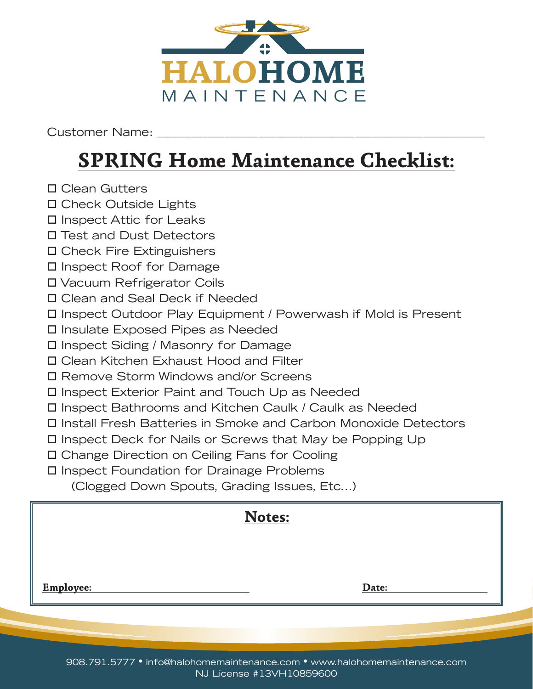

## **SPRING Home Maintenance Checklist:**

- Clean Gutters
- Check Outside Lights
- □ Inspect Attic for Leaks
- Test and Dust Detectors
- Check Fire Extinguishers
- Inspect Roof for Damage
- Vacuum Refrigerator Coils
- Clean and Seal Deck if Needed
- Inspect Outdoor Play Equipment / Powerwash if Mold is Present
- Insulate Exposed Pipes as Needed
- □ Inspect Siding / Masonry for Damage
- Clean Kitchen Exhaust Hood and Filter
- Remove Storm Windows and/or Screens
- Inspect Exterior Paint and Touch Up as Needed
- Inspect Bathrooms and Kitchen Caulk / Caulk as Needed
- Install Fresh Batteries in Smoke and Carbon Monoxide Detectors
- Inspect Deck for Nails or Screws that May be Popping Up
- Change Direction on Ceiling Fans for Cooling
- Inspect Foundation for Drainage Problems

(Clogged Down Spouts, Grading Issues, Etc...)

|           | Notes: |       |
|-----------|--------|-------|
|           |        |       |
|           |        |       |
| Employee: |        | Date: |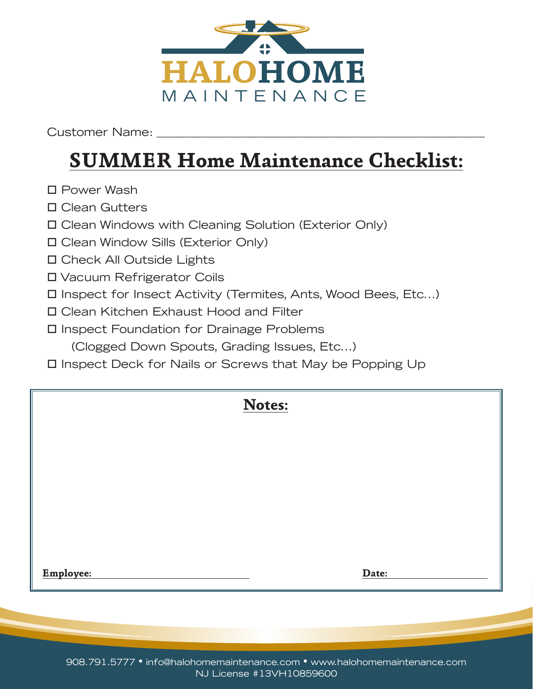

## **SUMMER Home Maintenance Checklist:**

- □ Power Wash
- Clean Gutters
- Clean Windows with Cleaning Solution (Exterior Only)
- Clean Window Sills (Exterior Only)
- Check All Outside Lights
- Vacuum Refrigerator Coils
- Inspect for Insect Activity (Termites, Ants, Wood Bees, Etc...)
- Clean Kitchen Exhaust Hood and Filter
- Inspect Foundation for Drainage Problems (Clogged Down Spouts, Grading Issues, Etc...)
- Inspect Deck for Nails or Screws that May be Popping Up

|           | Notes: |       |  |
|-----------|--------|-------|--|
|           |        |       |  |
|           |        |       |  |
|           |        |       |  |
|           |        |       |  |
| Employee: |        | Date: |  |